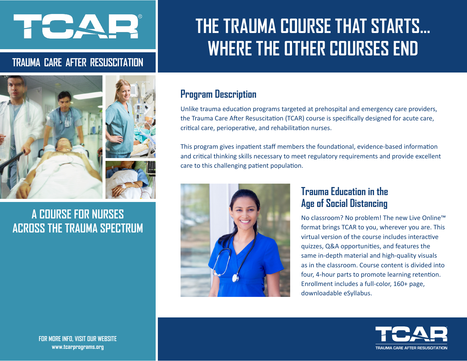# HORA A

## **TRAUMA CARE AFTER RESUSCITATION**





## **A COURSE FOR NURSES ACROSS THE TRAUMA SPECTRUM**

## **THE TRAUMA COURSE THAT STARTS... WHERE THE OTHER COURSES END**

## **Program Description**

Unlike trauma education programs targeted at prehospital and emergency care providers, the Trauma Care After Resuscitation (TCAR) course is specifically designed for acute care, critical care, perioperative, and rehabilitation nurses.

This program gives inpatient staff members the foundational, evidence-based information and critical thinking skills necessary to meet regulatory requirements and provide excellent care to this challenging patient population.



## **Trauma Education in the Age of Social Distancing**

No classroom? No problem! The new Live Online™ format brings TCAR to you, wherever you are. This virtual version of the course includes interactive quizzes, Q&A opportunities, and features the same in-depth material and high-quality visuals as in the classroom. Course content is divided into four, 4-hour parts to promote learning retention. Enrollment includes a full-color, 160+ page, downloadable eSyllabus.



**FOR MORE INFO, VISIT OUR WEBSITE www.tcarprograms.org**